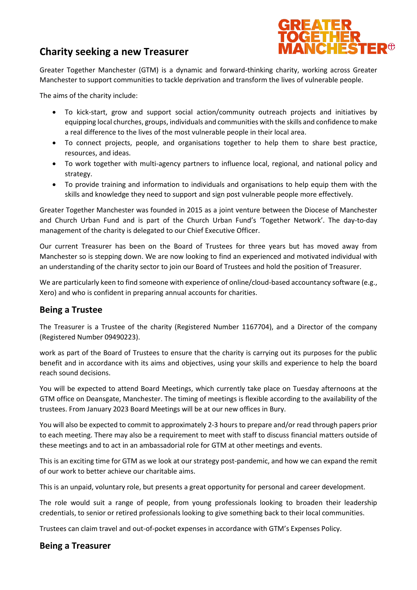# **Charity seeking a new Treasurer**



Greater Together Manchester (GTM) is a dynamic and forward-thinking charity, working across Greater Manchester to support communities to tackle deprivation and transform the lives of vulnerable people.

The aims of the charity include:

- To kick-start, grow and support social action/community outreach projects and initiatives by equipping local churches, groups, individuals and communities with the skills and confidence to make a real difference to the lives of the most vulnerable people in their local area.
- To connect projects, people, and organisations together to help them to share best practice, resources, and ideas.
- To work together with multi-agency partners to influence local, regional, and national policy and strategy.
- To provide training and information to individuals and organisations to help equip them with the skills and knowledge they need to support and sign post vulnerable people more effectively.

Greater Together Manchester was founded in 2015 as a joint venture between the Diocese of Manchester and Church Urban Fund and is part of the Church Urban Fund's 'Together Network'. The day-to-day management of the charity is delegated to our Chief Executive Officer.

Our current Treasurer has been on the Board of Trustees for three years but has moved away from Manchester so is stepping down. We are now looking to find an experienced and motivated individual with an understanding of the charity sector to join our Board of Trustees and hold the position of Treasurer.

We are particularly keen to find someone with experience of online/cloud-based accountancy software (e.g., Xero) and who is confident in preparing annual accounts for charities.

## **Being a Trustee**

The Treasurer is a Trustee of the charity (Registered Number 1167704), and a Director of the company (Registered Number 09490223).

work as part of the Board of Trustees to ensure that the charity is carrying out its purposes for the public benefit and in accordance with its aims and objectives, using your skills and experience to help the board reach sound decisions.

You will be expected to attend Board Meetings, which currently take place on Tuesday afternoons at the GTM office on Deansgate, Manchester. The timing of meetings is flexible according to the availability of the trustees. From January 2023 Board Meetings will be at our new offices in Bury.

You will also be expected to commit to approximately 2-3 hours to prepare and/or read through papers prior to each meeting. There may also be a requirement to meet with staff to discuss financial matters outside of these meetings and to act in an ambassadorial role for GTM at other meetings and events.

This is an exciting time for GTM as we look at our strategy post-pandemic, and how we can expand the remit of our work to better achieve our charitable aims.

This is an unpaid, voluntary role, but presents a great opportunity for personal and career development.

The role would suit a range of people, from young professionals looking to broaden their leadership credentials, to senior or retired professionals looking to give something back to their local communities.

Trustees can claim travel and out-of-pocket expenses in accordance with GTM's Expenses Policy.

#### **Being a Treasurer**